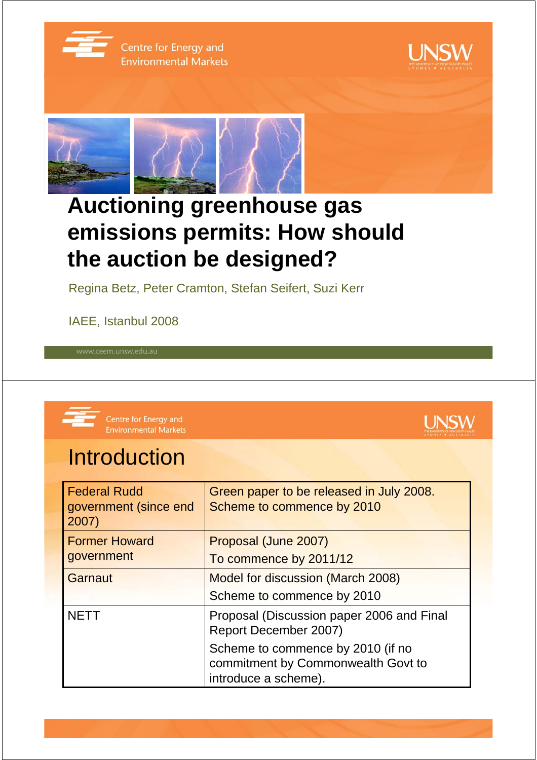

Centre for Energy and **Environmental Markets** 





## **Auctioning greenhouse gas emissions permits: How should the auction be designed?**

Regina Betz, Peter Cramton, Stefan Seifert, Suzi Kerr

IAEE, Istanbul 2008



Centre for Energy and **Environmental Markets** 

# **UNSW**

## **Introduction**

| <b>Federal Rudd</b><br>government (since end<br>2007) | Green paper to be released in July 2008.<br>Scheme to commence by 2010                          |
|-------------------------------------------------------|-------------------------------------------------------------------------------------------------|
| <b>Former Howard</b>                                  | Proposal (June 2007)                                                                            |
| government                                            | To commence by 2011/12                                                                          |
| Garnaut                                               | Model for discussion (March 2008)                                                               |
|                                                       | Scheme to commence by 2010                                                                      |
| <b>NETT</b>                                           | Proposal (Discussion paper 2006 and Final<br>Report December 2007)                              |
|                                                       | Scheme to commence by 2010 (if no<br>commitment by Commonwealth Govt to<br>introduce a scheme). |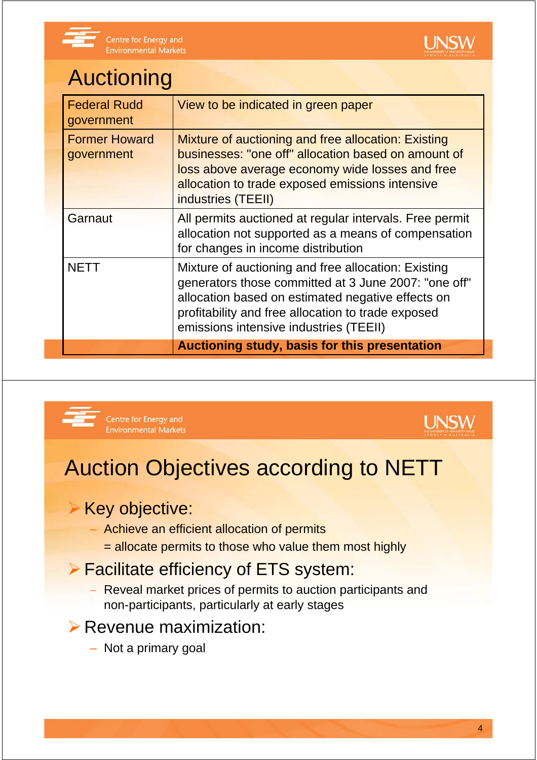

# Auctioning

| <b>Federal Rudd</b><br>government  | View to be indicated in green paper                                                                                                                                                                                                                              |
|------------------------------------|------------------------------------------------------------------------------------------------------------------------------------------------------------------------------------------------------------------------------------------------------------------|
| <b>Former Howard</b><br>government | Mixture of auctioning and free allocation: Existing<br>businesses: "one off" allocation based on amount of<br>loss above average economy wide losses and free<br>allocation to trade exposed emissions intensive<br>industries (TEEII)                           |
| Garnaut                            | All permits auctioned at regular intervals. Free permit<br>allocation not supported as a means of compensation<br>for changes in income distribution                                                                                                             |
| <b>NETT</b>                        | Mixture of auctioning and free allocation: Existing<br>generators those committed at 3 June 2007: "one off"<br>allocation based on estimated negative effects on<br>profitability and free allocation to trade exposed<br>emissions intensive industries (TEEII) |
|                                    | Auctioning study, basis for this presentation                                                                                                                                                                                                                    |



Centre for Energy and **Environmental Markets** 



## Auction Objectives according to NETT

#### **▶ Key objective:**

- Achieve an efficient allocation of permits
	- = allocate permits to those who value them most highly

#### ¾ Facilitate efficiency of ETS system:

− Reveal market prices of permits to auction participants and non-participants, particularly at early stages

#### $\triangleright$  Revenue maximization:

– Not a primary goal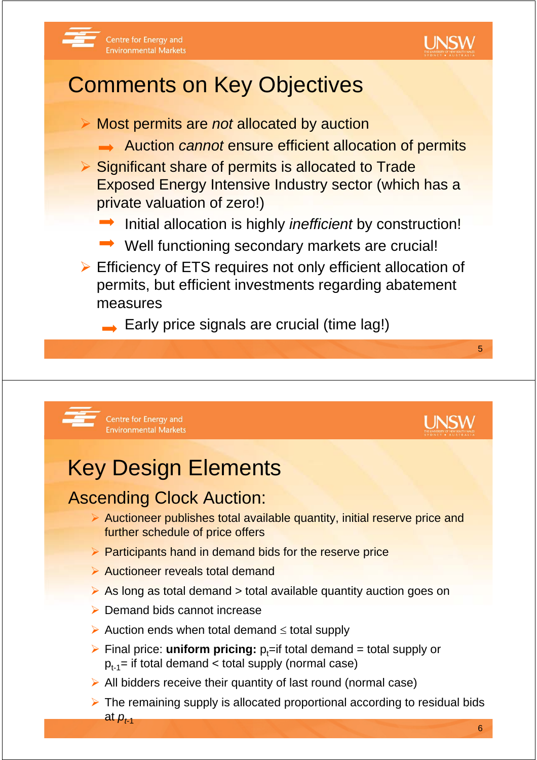



## Comments on Key Objectives

¾ Most permits are *not* allocated by auction **→ Auction** *cannot* **ensure efficient allocation of permits** ¾ Significant share of permits is allocated to Trade Exposed Energy Intensive Industry sector (which has a private valuation of zero!) **■ Initial allocation is highly** *inefficient* **by construction!**  $\rightarrow$  Well functioning secondary markets are crucial!  $\triangleright$  Efficiency of ETS requires not only efficient allocation of permits, but efficient investments regarding abatement measures

 $\rightarrow$  Early price signals are crucial (time lag!)



#### Centre for Energy and **Environmental Markets**

## Key Design Elements

### Ascending Clock Auction:

- $\triangleright$  Auctioneer publishes total available quantity, initial reserve price and further schedule of price offers
- $\triangleright$  Participants hand in demand bids for the reserve price
- $\triangleright$  Auctioneer reveals total demand
- $\triangleright$  As long as total demand  $\triangleright$  total available quantity auction goes on
- $\triangleright$  Demand bids cannot increase
- ¾ Auction ends when total demand ≤ total supply
- $\triangleright$  Final price: **uniform pricing:**  $p_t$ =if total demand = total supply or  $p_{t-1}$ = if total demand < total supply (normal case)
- $\triangleright$  All bidders receive their quantity of last round (normal case)
- $\triangleright$  The remaining supply is allocated proportional according to residual bids at  $p_{t-1}$

5

**UNSW**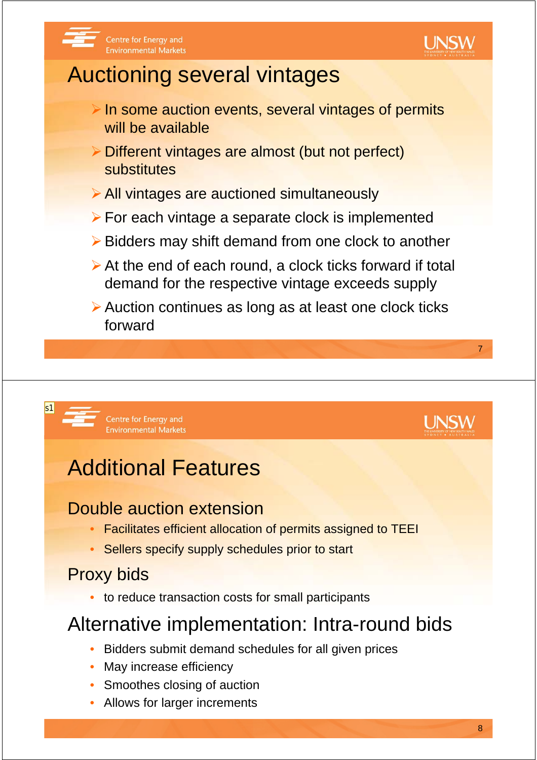



## Auctioning several vintages

- $\triangleright$  In some auction events, several vintages of permits will be available
- ¾Different vintages are almost (but not perfect) substitutes
- ¾All vintages are auctioned simultaneously
- $\triangleright$  For each vintage a separate clock is implemented
- ¾Bidders may shift demand from one clock to another
- $\triangleright$  At the end of each round, a clock ticks forward if total demand for the respective vintage exceeds supply
- ¾Auction continues as long as at least one clock ticks forward



 $\mathsf{s}$ 1

## Additional Features

### Double auction extension

- Facilitates efficient allocation of permits assigned to TEEI
- Sellers specify supply schedules prior to start

### Proxy bids

• to reduce transaction costs for small participants

## Alternative implementation: Intra-round bids

- Bidders submit demand schedules for all given prices
- May increase efficiency
- Smoothes closing of auction
- Allows for larger increments

7

l INSW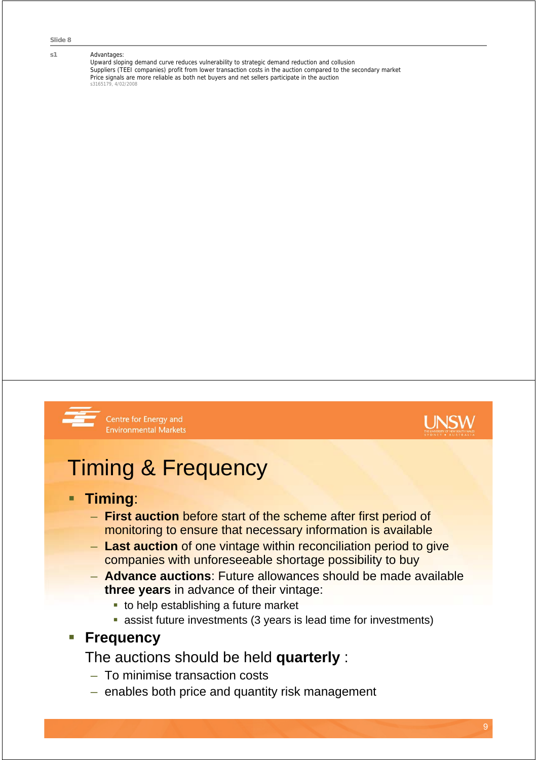#### s1 **Advantages:**

Upward sloping demand curve reduces vulnerability to strategic demand reduction and collusion Suppliers (TEEI companies) profit from lower transaction costs in the auction compared to the secondary market Price signals are more reliable as both net buyers and net sellers participate in the auction s3165179, 4/02/200



Centre for Energy and **Environmental Markets** 



## Timing & Frequency

#### **Timing**:

- **First auction** before start of the scheme after first period of monitoring to ensure that necessary information is available
- **Last auction** of one vintage within reconciliation period to give companies with unforeseeable shortage possibility to buy
- **Advance auctions**: Future allowances should be made available **three years** in advance of their vintage:
	- $\blacksquare$  to help establishing a future market
	- assist future investments (3 years is lead time for investments)

#### **Frequency**

The auctions should be held **quarterly** :

- To minimise transaction costs
- enables both price and quantity risk management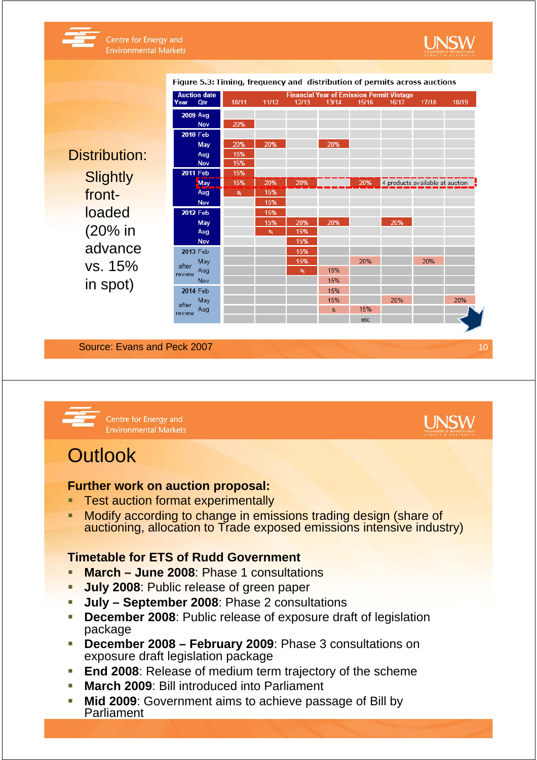

Distribution: **Slightly** frontloaded (20% in advance vs. 15% in spot)

|                 | <b>Auction date</b> | <b>Financial Year of Emission Permit Vintage</b> |       |       |       |       |                                 |       |       |  |  |
|-----------------|---------------------|--------------------------------------------------|-------|-------|-------|-------|---------------------------------|-------|-------|--|--|
| Year            | Qtr                 | 10/11                                            | 11/12 | 12/13 | 13/14 | 15/16 | 16/17                           | 17/18 | 18/19 |  |  |
|                 | <b>2009 Aug</b>     |                                                  |       |       |       |       |                                 |       |       |  |  |
|                 | <b>Nov</b>          | 20%                                              |       |       |       |       |                                 |       |       |  |  |
|                 | 2010 Feb            |                                                  |       |       |       |       |                                 |       |       |  |  |
|                 | May                 | 20%                                              | 20%   |       | 20%   |       |                                 |       |       |  |  |
|                 | Aug                 | 15%                                              |       |       |       |       |                                 |       |       |  |  |
|                 | Nov                 | 15%                                              |       |       |       |       |                                 |       |       |  |  |
|                 | 2011 Feb            | 15%                                              |       |       |       |       |                                 |       |       |  |  |
|                 | May                 | 15%                                              | 20%   | 20%   |       | 20%   | 4 products available at auction |       |       |  |  |
|                 | Aug                 | $S_i$                                            | 15%   |       |       |       |                                 |       |       |  |  |
|                 | <b>Nov</b>          |                                                  | 15%   |       |       |       |                                 |       |       |  |  |
|                 | 2012 Feb            |                                                  | 15%   |       |       |       |                                 |       |       |  |  |
|                 | May                 |                                                  | 15%   | 20%   | 20%   |       | 20%                             |       |       |  |  |
|                 | Aug                 |                                                  | $S_i$ | 15%   |       |       |                                 |       |       |  |  |
|                 | <b>Nov</b>          |                                                  |       | 15%   |       |       |                                 |       |       |  |  |
|                 | 2013 Feb            |                                                  |       | 15%   |       |       |                                 |       |       |  |  |
| after           | May                 |                                                  |       | 15%   |       | 20%   |                                 | 20%   |       |  |  |
| review          | Aug                 |                                                  |       | $S_i$ | 15%   |       |                                 |       |       |  |  |
|                 | Nov                 |                                                  |       |       | 15%   |       |                                 |       |       |  |  |
| 2014 Feb        |                     |                                                  |       |       | 15%   |       |                                 |       |       |  |  |
| after<br>review | May                 |                                                  |       |       | 15%   |       | 20%                             |       | 20%   |  |  |
|                 | Aug                 |                                                  |       |       | $S_i$ | 15%   |                                 |       |       |  |  |
|                 |                     |                                                  |       |       |       | etc   |                                 |       |       |  |  |

Figure 5.3: Timing, frequency and distribution of permits across auctions

Source: Evans and Peck 2007



Centre for Energy and **Environmental Markets** 

### **Outlook**

#### **Further work on auction proposal:**

- **Test auction format experimentally**
- **Modify according to change in emissions trading design (share of** auctioning, allocation to Trade exposed emissions intensive industry)

#### **Timetable for ETS of Rudd Government**

- **March June 2008: Phase 1 consultations**
- **July 2008: Public release of green paper**
- **July September 2008**: Phase 2 consultations
- **December 2008:** Public release of exposure draft of legislation package
- **December 2008 February 2009**: Phase 3 consultations on exposure draft legislation package
- **End 2008: Release of medium term trajectory of the scheme**
- **March 2009: Bill introduced into Parliament**
- **Mid 2009**: Government aims to achieve passage of Bill by Parliament

l INSW

10